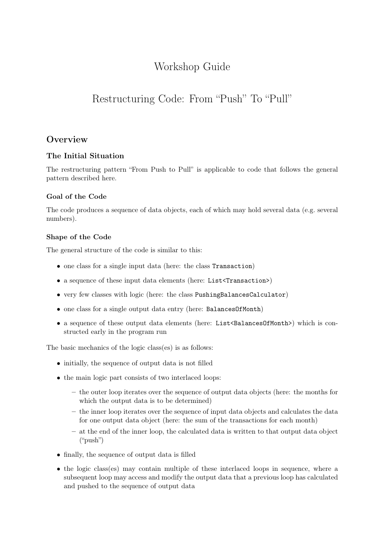# Workshop Guide

# Restructuring Code: From "Push" To "Pull"

# **Overview**

# The Initial Situation

The restructuring pattern "From Push to Pull" is applicable to code that follows the general pattern described here.

# Goal of the Code

The code produces a sequence of data objects, each of which may hold several data (e.g. several numbers).

# Shape of the Code

The general structure of the code is similar to this:

- one class for a single input data (here: the class Transaction)
- a sequence of these input data elements (here: List<Transaction>)
- very few classes with logic (here: the class PushingBalancesCalculator)
- one class for a single output data entry (here: BalancesOfMonth)
- a sequence of these output data elements (here: List<BalancesOfMonth>) which is constructed early in the program run

The basic mechanics of the logic class(es) is as follows:

- initially, the sequence of output data is not filled
- the main logic part consists of two interlaced loops:
	- the outer loop iterates over the sequence of output data objects (here: the months for which the output data is to be determined)
	- the inner loop iterates over the sequence of input data objects and calculates the data for one output data object (here: the sum of the transactions for each month)
	- at the end of the inner loop, the calculated data is written to that output data object ("push")
- finally, the sequence of output data is filled
- the logic class(es) may contain multiple of these interlaced loops in sequence, where a subsequent loop may access and modify the output data that a previous loop has calculated and pushed to the sequence of output data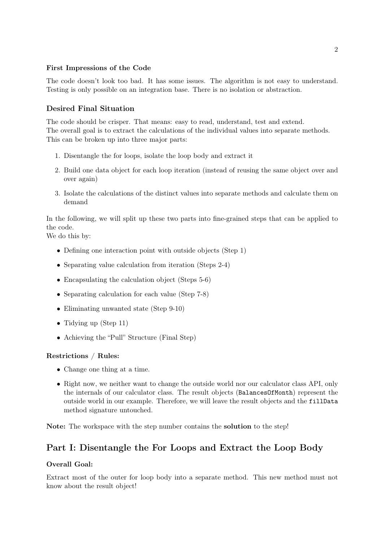### First Impressions of the Code

The code doesn't look too bad. It has some issues. The algorithm is not easy to understand. Testing is only possible on an integration base. There is no isolation or abstraction.

### Desired Final Situation

The code should be crisper. That means: easy to read, understand, test and extend. The overall goal is to extract the calculations of the individual values into separate methods. This can be broken up into three major parts:

- 1. Disentangle the for loops, isolate the loop body and extract it
- 2. Build one data object for each loop iteration (instead of reusing the same object over and over again)
- 3. Isolate the calculations of the distinct values into separate methods and calculate them on demand

In the following, we will split up these two parts into fine-grained steps that can be applied to the code.

We do this by:

- Defining one interaction point with outside objects (Step 1)
- Separating value calculation from iteration (Steps 2-4)
- Encapsulating the calculation object (Steps 5-6)
- Separating calculation for each value (Step 7-8)
- Eliminating unwanted state (Step 9-10)
- Tidying up (Step 11)
- Achieving the "Pull" Structure (Final Step)

### Restrictions / Rules:

- Change one thing at a time.
- Right now, we neither want to change the outside world nor our calculator class API, only the internals of our calculator class. The result objects (BalancesOfMonth) represent the outside world in our example. Therefore, we will leave the result objects and the fillData method signature untouched.

Note: The workspace with the step number contains the solution to the step!

# Part I: Disentangle the For Loops and Extract the Loop Body

#### Overall Goal:

Extract most of the outer for loop body into a separate method. This new method must not know about the result object!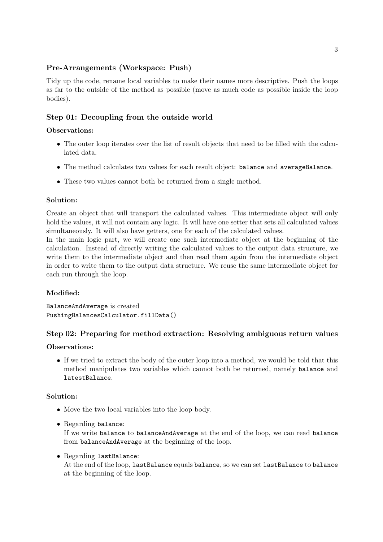## Pre-Arrangements (Workspace: Push)

Tidy up the code, rename local variables to make their names more descriptive. Push the loops as far to the outside of the method as possible (move as much code as possible inside the loop bodies).

# Step 01: Decoupling from the outside world

### Observations:

- The outer loop iterates over the list of result objects that need to be filled with the calculated data.
- The method calculates two values for each result object: balance and averageBalance.
- These two values cannot both be returned from a single method.

### Solution:

Create an object that will transport the calculated values. This intermediate object will only hold the values, it will not contain any logic. It will have one setter that sets all calculated values simultaneously. It will also have getters, one for each of the calculated values.

In the main logic part, we will create one such intermediate object at the beginning of the calculation. Instead of directly writing the calculated values to the output data structure, we write them to the intermediate object and then read them again from the intermediate object in order to write them to the output data structure. We reuse the same intermediate object for each run through the loop.

### Modified:

BalanceAndAverage is created PushingBalancesCalculator.fillData()

# Step 02: Preparing for method extraction: Resolving ambiguous return values

### Observations:

• If we tried to extract the body of the outer loop into a method, we would be told that this method manipulates two variables which cannot both be returned, namely balance and latestBalance.

### Solution:

- Move the two local variables into the loop body.
- Regarding balance:

If we write balance to balanceAndAverage at the end of the loop, we can read balance from balanceAndAverage at the beginning of the loop.

• Regarding lastBalance:

At the end of the loop, lastBalance equals balance, so we can set lastBalance to balance at the beginning of the loop.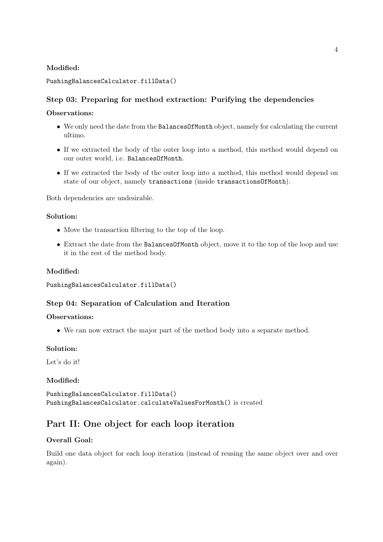### Modified:

### PushingBalancesCalculator.fillData()

# Step 03: Preparing for method extraction: Purifying the dependencies

### Observations:

- We only need the date from the BalancesOfMonth object, namely for calculating the current ultimo.
- If we extracted the body of the outer loop into a method, this method would depend on our outer world, i.e. BalancesOfMonth.
- If we extracted the body of the outer loop into a method, this method would depend on state of our object, namely transactions (inside transactionsOfMonth).

Both dependencies are undesirable.

### Solution:

- Move the transaction filtering to the top of the loop.
- Extract the date from the BalancesOfMonth object, move it to the top of the loop and use it in the rest of the method body.

### Modified:

```
PushingBalancesCalculator.fillData()
```
### Step 04: Separation of Calculation and Iteration

#### Observations:

• We can now extract the major part of the method body into a separate method.

### Solution:

Let's do it!

### Modified:

PushingBalancesCalculator.fillData() PushingBalancesCalculator.calculateValuesForMonth() is created

# Part II: One object for each loop iteration

# Overall Goal:

Build one data object for each loop iteration (instead of reusing the same object over and over again).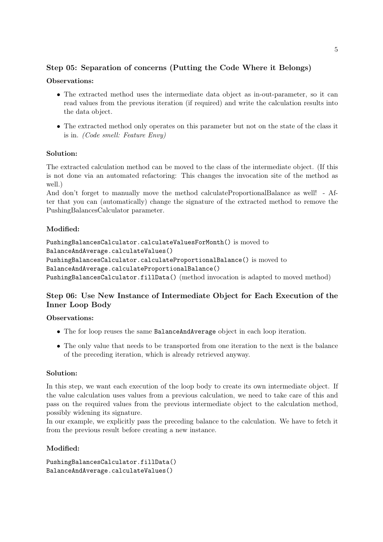# Step 05: Separation of concerns (Putting the Code Where it Belongs)

## Observations:

- The extracted method uses the intermediate data object as in-out-parameter, so it can read values from the previous iteration (if required) and write the calculation results into the data object.
- The extracted method only operates on this parameter but not on the state of the class it is in. (Code smell: Feature Envy)

# Solution:

The extracted calculation method can be moved to the class of the intermediate object. (If this is not done via an automated refactoring: This changes the invocation site of the method as well.)

And don't forget to manually move the method calculateProportionalBalance as well! - After that you can (automatically) change the signature of the extracted method to remove the PushingBalancesCalculator parameter.

### Modified:

```
PushingBalancesCalculator.calculateValuesForMonth() is moved to
BalanceAndAverage.calculateValues()
PushingBalancesCalculator.calculateProportionalBalance() is moved to
BalanceAndAverage.calculateProportionalBalance()
PushingBalancesCalculator.fillData() (method invocation is adapted to moved method)
```
# Step 06: Use New Instance of Intermediate Object for Each Execution of the Inner Loop Body

Observations:

- The for loop reuses the same BalanceAndAverage object in each loop iteration.
- The only value that needs to be transported from one iteration to the next is the balance of the preceding iteration, which is already retrieved anyway.

### Solution:

In this step, we want each execution of the loop body to create its own intermediate object. If the value calculation uses values from a previous calculation, we need to take care of this and pass on the required values from the previous intermediate object to the calculation method, possibly widening its signature.

In our example, we explicitly pass the preceding balance to the calculation. We have to fetch it from the previous result before creating a new instance.

### Modified:

```
PushingBalancesCalculator.fillData()
BalanceAndAverage.calculateValues()
```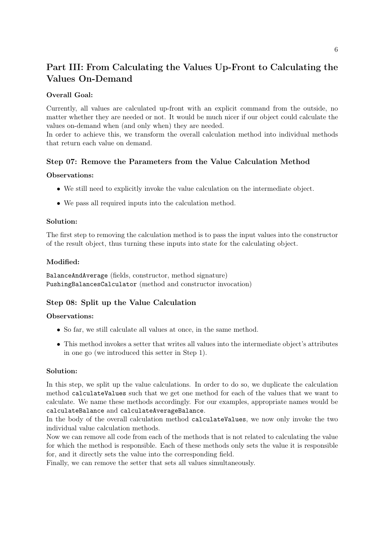# Part III: From Calculating the Values Up-Front to Calculating the Values On-Demand

## Overall Goal:

Currently, all values are calculated up-front with an explicit command from the outside, no matter whether they are needed or not. It would be much nicer if our object could calculate the values on-demand when (and only when) they are needed.

In order to achieve this, we transform the overall calculation method into individual methods that return each value on demand.

# Step 07: Remove the Parameters from the Value Calculation Method

### Observations:

- We still need to explicitly invoke the value calculation on the intermediate object.
- We pass all required inputs into the calculation method.

### Solution:

The first step to removing the calculation method is to pass the input values into the constructor of the result object, thus turning these inputs into state for the calculating object.

### Modified:

BalanceAndAverage (fields, constructor, method signature) PushingBalancesCalculator (method and constructor invocation)

### Step 08: Split up the Value Calculation

#### Observations:

- So far, we still calculate all values at once, in the same method.
- This method invokes a setter that writes all values into the intermediate object's attributes in one go (we introduced this setter in Step 1).

### Solution:

In this step, we split up the value calculations. In order to do so, we duplicate the calculation method calculateValues such that we get one method for each of the values that we want to calculate. We name these methods accordingly. For our examples, appropriate names would be calculateBalance and calculateAverageBalance.

In the body of the overall calculation method calculateValues, we now only invoke the two individual value calculation methods.

Now we can remove all code from each of the methods that is not related to calculating the value for which the method is responsible. Each of these methods only sets the value it is responsible for, and it directly sets the value into the corresponding field.

Finally, we can remove the setter that sets all values simultaneously.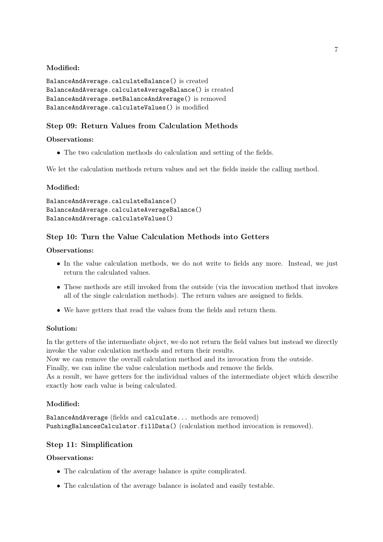# Modified:

```
BalanceAndAverage.calculateBalance() is created
BalanceAndAverage.calculateAverageBalance() is created
BalanceAndAverage.setBalanceAndAverage() is removed
BalanceAndAverage.calculateValues() is modified
```
# Step 09: Return Values from Calculation Methods

## Observations:

• The two calculation methods do calculation and setting of the fields.

We let the calculation methods return values and set the fields inside the calling method.

# Modified:

```
BalanceAndAverage.calculateBalance()
BalanceAndAverage.calculateAverageBalance()
BalanceAndAverage.calculateValues()
```
# Step 10: Turn the Value Calculation Methods into Getters

### Observations:

- In the value calculation methods, we do not write to fields any more. Instead, we just return the calculated values.
- These methods are still invoked from the outside (via the invocation method that invokes all of the single calculation methods). The return values are assigned to fields.
- We have getters that read the values from the fields and return them.

# Solution:

In the getters of the intermediate object, we do not return the field values but instead we directly invoke the value calculation methods and return their results.

Now we can remove the overall calculation method and its invocation from the outside.

Finally, we can inline the value calculation methods and remove the fields.

As a result, we have getters for the individual values of the intermediate object which describe exactly how each value is being calculated.

# Modified:

BalanceAndAverage (fields and calculate... methods are removed) PushingBalancesCalculator.fillData() (calculation method invocation is removed).

# Step 11: Simplification

# Observations:

- The calculation of the average balance is quite complicated.
- The calculation of the average balance is isolated and easily testable.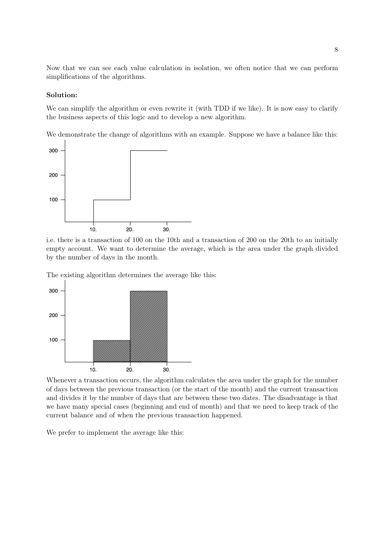Now that we can see each value calculation in isolation, we often notice that we can perform simplifications of the algorithms.

#### Solution:

We can simplify the algorithm or even rewrite it (with TDD if we like). It is now easy to clarify the business aspects of this logic and to develop a new algorithm.

We demonstrate the change of algorithms with an example. Suppose we have a balance like this:



i.e. there is a transaction of 100 on the 10th and a transaction of 200 on the 20th to an initially empty account. We want to determine the average, which is the area under the graph divided by the number of days in the month.

The existing algorithm determines the average like this:



Whenever a transaction occurs, the algorithm calculates the area under the graph for the number of days between the previous transaction (or the start of the month) and the current transaction and divides it by the number of days that are between these two dates. The disadvantage is that we have many special cases (beginning and end of month) and that we need to keep track of the current balance and of when the previous transaction happened.

We prefer to implement the average like this: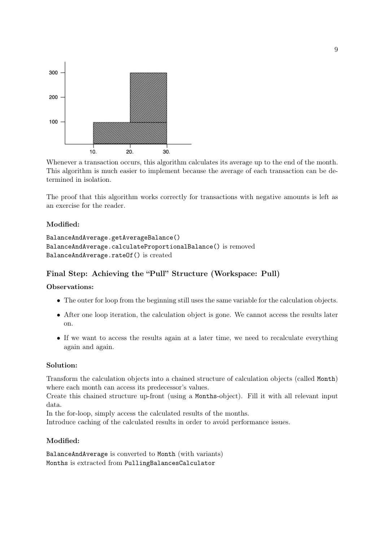

Whenever a transaction occurs, this algorithm calculates its average up to the end of the month. This algorithm is much easier to implement because the average of each transaction can be determined in isolation.

The proof that this algorithm works correctly for transactions with negative amounts is left as an exercise for the reader.

### Modified:

```
BalanceAndAverage.getAverageBalance()
BalanceAndAverage.calculateProportionalBalance() is removed
BalanceAndAverage.rateOf() is created
```
# Final Step: Achieving the "Pull" Structure (Workspace: Pull)

#### Observations:

- The outer for loop from the beginning still uses the same variable for the calculation objects.
- After one loop iteration, the calculation object is gone. We cannot access the results later on.
- If we want to access the results again at a later time, we need to recalculate everything again and again.

### Solution:

Transform the calculation objects into a chained structure of calculation objects (called Month) where each month can access its predecessor's values.

Create this chained structure up-front (using a Months-object). Fill it with all relevant input data.

In the for-loop, simply access the calculated results of the months.

Introduce caching of the calculated results in order to avoid performance issues.

### Modified:

BalanceAndAverage is converted to Month (with variants) Months is extracted from PullingBalancesCalculator